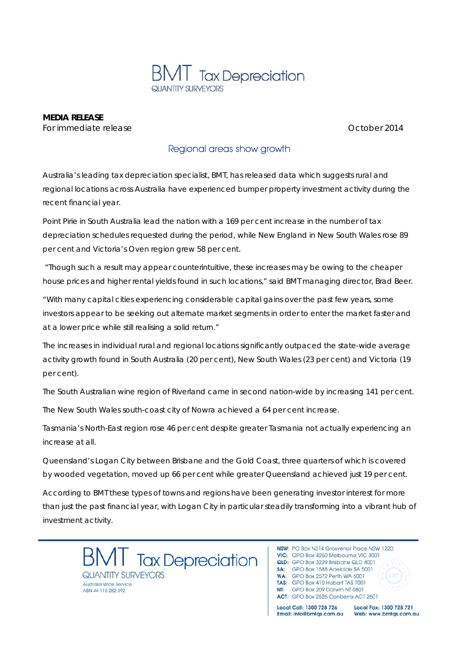

**MEDIA RELEASE**  *For immediate release* October 2014

## Regional areas show growth

Australia's leading tax depreciation specialist, BMT, has released data which suggests rural and regional locations across Australia have experienced bumper property investment activity during the recent financial year.

Point Pirie in South Australia lead the nation with a 169 per cent increase in the number of tax depreciation schedules requested during the period, while New England in New South Wales rose 89 per cent and Victoria's Oven region grew 58 per cent.

 "Though such a result may appear counterintuitive, these increases may be owing to the cheaper house prices and higher rental yields found in such locations," said BMT managing director, Brad Beer.

"With many capital cities experiencing considerable capital gains over the past few years, some investors appear to be seeking out alternate market segments in order to enter the market faster and at a lower price while still realising a solid return."

The increases in individual rural and regional locations significantly outpaced the state-wide average activity growth found in South Australia (20 per cent), New South Wales (23 per cent) and Victoria (19 per cent).

The South Australian wine region of Riverland came in second nation-wide by increasing 141 per cent.

The New South Wales south-coast city of Nowra achieved a 64 per cent increase.

Tasmania's North-East region rose 46 per cent despite greater Tasmania not actually experiencing an increase at all.

Queensland's Logan City between Brisbane and the Gold Coast, three quarters of which is covered by wooded vegetation, moved up 66 per cent while greater Queensland achieved just 19 per cent.

According to BMT these types of towns and regions have been generating investor interest for more than just the past financial year, with Logan City in particular steadily transforming into a vibrant hub of investment activity.

**Tax Depreciation** QUANTITY SURVEYORS Australia Wide Service ARN 44 115 282 302

NSW: PO Box N314 Grosvenor Place NSW 1220 VIC: GPO Box 4260 Melbourne VIC 3001 QLD: GPO Box 3229 Brisbane QLD 4001 SA: GPO Box 1588 Adelaide SA 5001 WA: GPO Box 2572 Perth WA 6001 TAS: GPO Box 410 Hobart TAS 7001 NT: GPO Box 209 Darwin NT 0801 ACT: GPO Box 2526 Canberra ACT 2601

Local Call: 1300 728 726 Email: info@bmtqs.com.au

Local Fax: 1300 728 721 Web: www.bmtqs.com.au